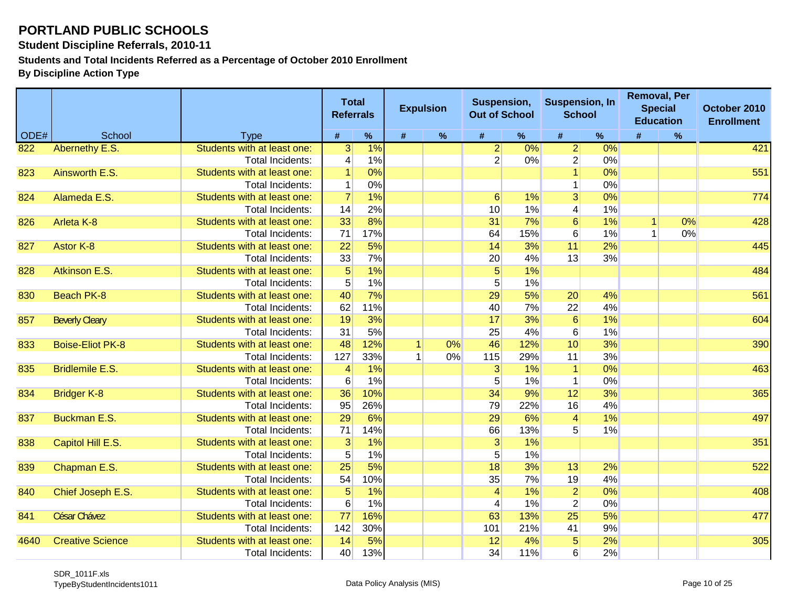**Student Discipline Referrals, 2010-11**

**Students and Total Incidents Referred as a Percentage of October 2010 Enrollment**

|      |                         |                             | <b>Referrals</b> | <b>Total</b> |      | <b>Expulsion</b> | Suspension,<br><b>Out of School</b> |       | <b>Suspension, In</b><br><b>School</b> |    |                      | <b>Removal, Per</b><br><b>Special</b><br><b>Education</b> | October 2010<br><b>Enrollment</b> |
|------|-------------------------|-----------------------------|------------------|--------------|------|------------------|-------------------------------------|-------|----------------------------------------|----|----------------------|-----------------------------------------------------------|-----------------------------------|
| ODE# | School                  | <b>Type</b>                 | #                | %            | $\#$ | $\%$             | $\pmb{\#}$                          | $\%$  | #                                      | %  | #                    | $\%$                                                      |                                   |
| 822  | Abernethy E.S.          | Students with at least one: | $\overline{3}$   | 1%           |      |                  | $\overline{2}$                      | $0\%$ | $\mathbf{2}$                           | 0% |                      |                                                           | 421                               |
|      |                         | Total Incidents:            | $\overline{4}$   | 1%           |      |                  | $\overline{2}$                      | $0\%$ | $\overline{2}$                         | 0% |                      |                                                           |                                   |
| 823  | Ainsworth E.S.          | Students with at least one: |                  | 0%           |      |                  |                                     |       |                                        | 0% |                      |                                                           | 551                               |
|      |                         | <b>Total Incidents:</b>     |                  | 0%           |      |                  |                                     |       |                                        | 0% |                      |                                                           |                                   |
| 824  | Alameda E.S.            | Students with at least one: | $\overline{7}$   | 1%           |      |                  | $6 \overline{6}$                    | 1%    | $\overline{3}$                         | 0% |                      |                                                           | 774                               |
|      |                         | <b>Total Incidents:</b>     | 14               | 2%           |      |                  | 10                                  | 1%    | 4                                      | 1% |                      |                                                           |                                   |
| 826  | Arleta K-8              | Students with at least one: | 33               | 8%           |      |                  | 31                                  | 7%    | $\overline{6}$                         | 1% | $\blacktriangleleft$ | 0%                                                        | 428                               |
|      |                         | Total Incidents:            | 71               | 17%          |      |                  | 64                                  | 15%   | $6 \overline{6}$                       | 1% |                      | 0%                                                        |                                   |
| 827  | <b>Astor K-8</b>        | Students with at least one: | $\overline{22}$  | 5%           |      |                  | 14                                  | 3%    | 11                                     | 2% |                      |                                                           | 445                               |
|      |                         | <b>Total Incidents:</b>     | 33               | 7%           |      |                  | 20                                  | 4%    | 13                                     | 3% |                      |                                                           |                                   |
| 828  | Atkinson E.S.           | Students with at least one: | $5\overline{)}$  | 1%           |      |                  | 5 <sup>5</sup>                      | 1%    |                                        |    |                      |                                                           | 484                               |
|      |                         | Total Incidents:            | $5\overline{)}$  | 1%           |      |                  | 5 <sup>2</sup>                      | 1%    |                                        |    |                      |                                                           |                                   |
| 830  | <b>Beach PK-8</b>       | Students with at least one: | 40               | 7%           |      |                  | 29                                  | 5%    | 20                                     | 4% |                      |                                                           | 561                               |
|      |                         | Total Incidents:            | 62               | 11%          |      |                  | 40                                  | 7%    | 22                                     | 4% |                      |                                                           |                                   |
| 857  | <b>Beverly Cleary</b>   | Students with at least one: | 19               | 3%           |      |                  | 17                                  | 3%    | $6 \overline{}$                        | 1% |                      |                                                           | 604                               |
|      |                         | Total Incidents:            | 31               | 5%           |      |                  | 25                                  | 4%    | $6 \overline{6}$                       | 1% |                      |                                                           |                                   |
| 833  | <b>Boise-Eliot PK-8</b> | Students with at least one: | 48               | 12%          |      | 0%               | 46                                  | 12%   | 10                                     | 3% |                      |                                                           | 390                               |
|      |                         | Total Incidents:            | 127              | 33%          |      | 0%               | 115                                 | 29%   | 11                                     | 3% |                      |                                                           |                                   |
| 835  | <b>Bridlemile E.S.</b>  | Students with at least one: | $\overline{4}$   | 1%           |      |                  | $\overline{3}$                      | $1\%$ | $\overline{1}$                         | 0% |                      |                                                           | 463                               |
|      |                         | Total Incidents:            | $6 \overline{6}$ | 1%           |      |                  | 5                                   | 1%    | $\vert$ 1                              | 0% |                      |                                                           |                                   |
| 834  | <b>Bridger K-8</b>      | Students with at least one: | 36               | 10%          |      |                  | 34                                  | 9%    | 12                                     | 3% |                      |                                                           | 365                               |
|      |                         | Total Incidents:            | 95               | 26%          |      |                  | 79                                  | 22%   | 16                                     | 4% |                      |                                                           |                                   |
| 837  | <b>Buckman E.S.</b>     | Students with at least one: | 29               | 6%           |      |                  | 29                                  | 6%    | $\vert 4 \vert$                        | 1% |                      |                                                           | 497                               |
|      |                         | Total Incidents:            | 71               | 14%          |      |                  | 66                                  | 13%   | 5 <sup>1</sup>                         | 1% |                      |                                                           |                                   |
| 838  | Capitol Hill E.S.       | Students with at least one: | $\overline{3}$   | 1%           |      |                  | $\overline{3}$                      | 1%    |                                        |    |                      |                                                           | 351                               |
|      |                         | <b>Total Incidents:</b>     | 5 <sup>1</sup>   | 1%           |      |                  | 5 <sup>5</sup>                      | 1%    |                                        |    |                      |                                                           |                                   |
| 839  | Chapman E.S.            | Students with at least one: | 25               | 5%           |      |                  | 18                                  | 3%    | 13                                     | 2% |                      |                                                           | 522                               |
|      |                         | <b>Total Incidents:</b>     | 54               | 10%          |      |                  | 35                                  | 7%    | 19                                     | 4% |                      |                                                           |                                   |
| 840  | Chief Joseph E.S.       | Students with at least one: | $5\overline{)}$  | 1%           |      |                  | $\vert$                             | 1%    | $\overline{2}$                         | 0% |                      |                                                           | 408                               |
|      |                         | Total Incidents:            | $6 \overline{6}$ | 1%           |      |                  | 4                                   | 1%    | $\overline{2}$                         | 0% |                      |                                                           |                                   |
| 841  | César Chávez            | Students with at least one: | 77               | 16%          |      |                  | 63                                  | 13%   | $\overline{25}$                        | 5% |                      |                                                           | 477                               |
|      |                         | <b>Total Incidents:</b>     | 142              | 30%          |      |                  | 101                                 | 21%   | 41                                     | 9% |                      |                                                           |                                   |
| 4640 | <b>Creative Science</b> | Students with at least one: | 14               | 5%           |      |                  | 12                                  | 4%    | $\overline{5}$                         | 2% |                      |                                                           | 305                               |
|      |                         | Total Incidents:            | 40               | 13%          |      |                  | 34                                  | 11%   | $6 \mid$                               | 2% |                      |                                                           |                                   |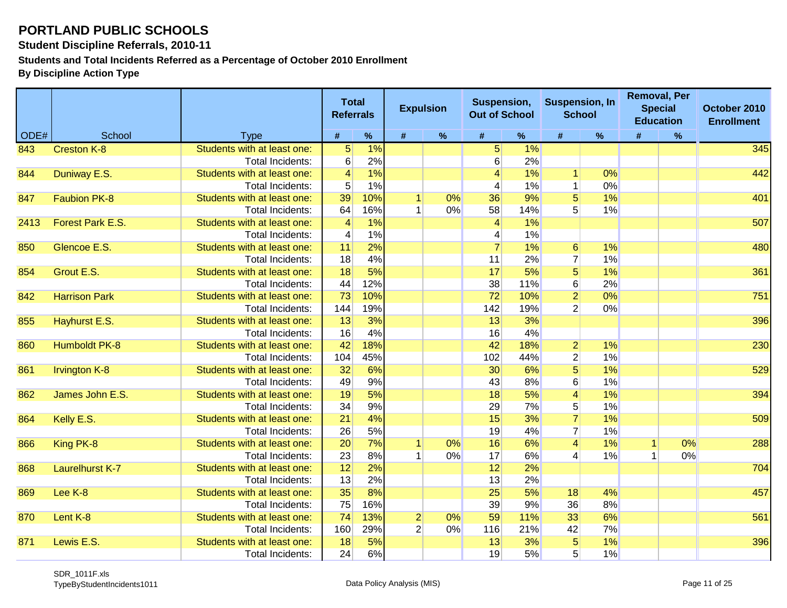**Student Discipline Referrals, 2010-11**

**Students and Total Incidents Referred as a Percentage of October 2010 Enrollment**

|      |                        |                             | <b>Total</b><br><b>Referrals</b> |      | <b>Expulsion</b> |      | Suspension,<br><b>Out of School</b> |      | <b>Suspension, In</b><br><b>School</b> |      |   | <b>Removal, Per</b><br><b>Special</b><br><b>Education</b> | October 2010<br><b>Enrollment</b> |
|------|------------------------|-----------------------------|----------------------------------|------|------------------|------|-------------------------------------|------|----------------------------------------|------|---|-----------------------------------------------------------|-----------------------------------|
| ODE# | School                 | <b>Type</b>                 | #                                | $\%$ | #                | $\%$ | #                                   | $\%$ | #                                      | $\%$ | # | $\%$                                                      |                                   |
| 843  | <b>Creston K-8</b>     | Students with at least one: | 5                                | 1%   |                  |      | 5 <sup>1</sup>                      | 1%   |                                        |      |   |                                                           | $345$                             |
|      |                        | <b>Total Incidents:</b>     | $\,6$                            | 2%   |                  |      | 6                                   | 2%   |                                        |      |   |                                                           |                                   |
| 844  | Duniway E.S.           | Students with at least one: | $\overline{\mathbf{4}}$          | 1%   |                  |      | 4                                   | 1%   | $\overline{1}$                         | 0%   |   |                                                           | 442                               |
|      |                        | <b>Total Incidents:</b>     | 5                                | 1%   |                  |      | 4                                   | 1%   | $\mathbf{1}$                           | 0%   |   |                                                           |                                   |
| 847  | <b>Faubion PK-8</b>    | Students with at least one: | 39                               | 10%  | 1                | 0%   | 36                                  | 9%   | $\overline{5}$                         | 1%   |   |                                                           | 401                               |
|      |                        | <b>Total Incidents:</b>     | 64                               | 16%  |                  | 0%   | 58                                  | 14%  | 5                                      | 1%   |   |                                                           |                                   |
| 2413 | Forest Park E.S.       | Students with at least one: | $\overline{4}$                   | 1%   |                  |      | $\vert$                             | 1%   |                                        |      |   |                                                           | 507                               |
|      |                        | <b>Total Incidents:</b>     | 4                                | 1%   |                  |      | 4                                   | 1%   |                                        |      |   |                                                           |                                   |
| 850  | Glencoe E.S.           | Students with at least one: | 11                               | 2%   |                  |      | $\overline{7}$                      | 1%   | $6 \overline{6}$                       | 1%   |   |                                                           | 480                               |
|      |                        | <b>Total Incidents:</b>     | 18                               | 4%   |                  |      | 11                                  | 2%   | $\overline{7}$                         | 1%   |   |                                                           |                                   |
| 854  | Grout E.S.             | Students with at least one: | 18                               | 5%   |                  |      | 17                                  | 5%   | $\overline{5}$                         | 1%   |   |                                                           | 361                               |
|      |                        | <b>Total Incidents:</b>     | 44                               | 12%  |                  |      | 38                                  | 11%  | $\,6$                                  | 2%   |   |                                                           |                                   |
| 842  | <b>Harrison Park</b>   | Students with at least one: | 73                               | 10%  |                  |      | 72                                  | 10%  | $\overline{2}$                         | 0%   |   |                                                           | 751                               |
|      |                        | <b>Total Incidents:</b>     | 144                              | 19%  |                  |      | 142                                 | 19%  | $\overline{2}$                         | 0%   |   |                                                           |                                   |
| 855  | Hayhurst E.S.          | Students with at least one: | 13                               | 3%   |                  |      | 13                                  | 3%   |                                        |      |   |                                                           | 396                               |
|      |                        | <b>Total Incidents:</b>     | 16                               | 4%   |                  |      | 16                                  | 4%   |                                        |      |   |                                                           |                                   |
| 860  | <b>Humboldt PK-8</b>   | Students with at least one: | 42                               | 18%  |                  |      | 42                                  | 18%  | $\overline{2}$                         | 1%   |   |                                                           | 230                               |
|      |                        | Total Incidents:            | 104                              | 45%  |                  |      | 102                                 | 44%  | $\overline{2}$                         | 1%   |   |                                                           |                                   |
| 861  | <b>Irvington K-8</b>   | Students with at least one: | 32                               | 6%   |                  |      | 30                                  | 6%   | $\overline{5}$                         | 1%   |   |                                                           | 529                               |
|      |                        | <b>Total Incidents:</b>     | 49                               | 9%   |                  |      | 43                                  | 8%   | 6                                      | 1%   |   |                                                           |                                   |
| 862  | James John E.S.        | Students with at least one: | 19                               | 5%   |                  |      | 18                                  | 5%   | $\overline{4}$                         | 1%   |   |                                                           | 394                               |
|      |                        | <b>Total Incidents:</b>     | 34                               | 9%   |                  |      | 29                                  | 7%   | $\overline{5}$                         | 1%   |   |                                                           |                                   |
| 864  | Kelly E.S.             | Students with at least one: | 21                               | 4%   |                  |      | 15                                  | 3%   | $\overline{7}$                         | 1%   |   |                                                           | 509                               |
|      |                        | <b>Total Incidents:</b>     | 26                               | 5%   |                  |      | 19                                  | 4%   | $\overline{7}$                         | 1%   |   |                                                           |                                   |
| 866  | King PK-8              | Students with at least one: | 20                               | 7%   | $\mathbf{1}$     | 0%   | 16                                  | 6%   | $\vert$                                | 1%   |   | 0%                                                        | 288                               |
|      |                        | <b>Total Incidents:</b>     | 23                               | 8%   |                  | 0%   | 17                                  | 6%   | $\overline{\mathbf{A}}$                | 1%   |   | 0%                                                        |                                   |
| 868  | <b>Laurelhurst K-7</b> | Students with at least one: | 12                               | 2%   |                  |      | 12                                  | 2%   |                                        |      |   |                                                           | 704                               |
|      |                        | Total Incidents:            | 13                               | 2%   |                  |      | 13                                  | 2%   |                                        |      |   |                                                           |                                   |
| 869  | Lee K-8                | Students with at least one: | 35                               | 8%   |                  |      | 25                                  | 5%   | 18                                     | 4%   |   |                                                           | 457                               |
|      |                        | <b>Total Incidents:</b>     | 75                               | 16%  |                  |      | 39                                  | 9%   | 36                                     | 8%   |   |                                                           |                                   |
| 870  | Lent K-8               | Students with at least one: | 74                               | 13%  | $\overline{2}$   | 0%   | 59                                  | 11%  | 33                                     | 6%   |   |                                                           | 561                               |
|      |                        | <b>Total Incidents:</b>     | 160                              | 29%  | $\overline{2}$   | 0%   | 116                                 | 21%  | 42                                     | 7%   |   |                                                           |                                   |
| 871  | Lewis E.S.             | Students with at least one: | 18                               | 5%   |                  |      | 13                                  | 3%   | $\overline{5}$                         | 1%   |   |                                                           | 396                               |
|      |                        | Total Incidents:            | 24                               | 6%   |                  |      | 19                                  | 5%   | 5                                      | 1%   |   |                                                           |                                   |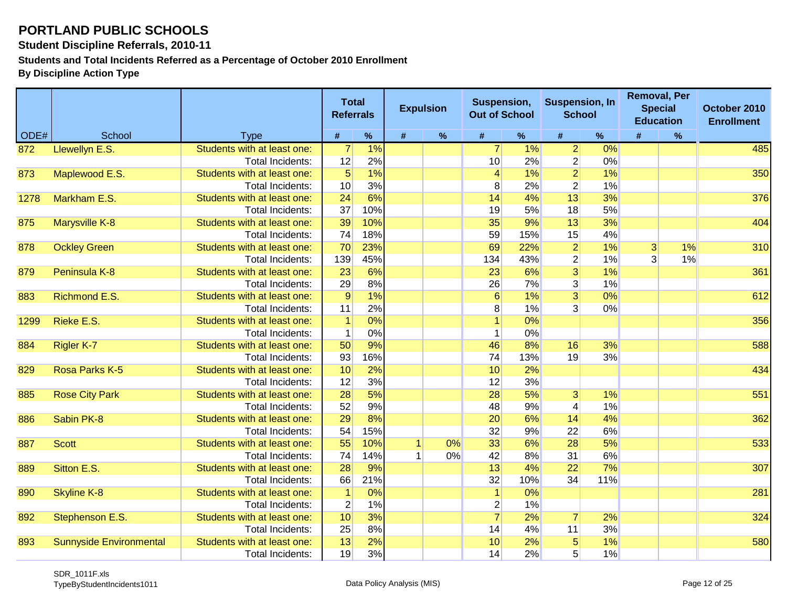**Student Discipline Referrals, 2010-11**

**Students and Total Incidents Referred as a Percentage of October 2010 Enrollment**

|      |                                |                             | <b>Total</b><br><b>Referrals</b> |     |   | <b>Expulsion</b> | Suspension,<br><b>Out of School</b> |      | <b>Suspension, In</b><br><b>School</b> |      | <b>Removal, Per</b><br><b>Special</b><br><b>Education</b> |      | October 2010<br><b>Enrollment</b> |
|------|--------------------------------|-----------------------------|----------------------------------|-----|---|------------------|-------------------------------------|------|----------------------------------------|------|-----------------------------------------------------------|------|-----------------------------------|
| ODE# | School                         | <b>Type</b>                 | #                                | %   | # | $\%$             | #                                   | $\%$ | #                                      | $\%$ | #                                                         | $\%$ |                                   |
| 872  | Llewellyn E.S.                 | Students with at least one: | $\overline{7}$                   | 1%  |   |                  | $\overline{7}$                      | 1%   | $\overline{2}$                         | 0%   |                                                           |      | 485                               |
|      |                                | Total Incidents:            | 12                               | 2%  |   |                  | 10                                  | 2%   | $\mathbf{2}$                           | 0%   |                                                           |      |                                   |
| 873  | Maplewood E.S.                 | Students with at least one: | $5\overline{)}$                  | 1%  |   |                  | $\vert$                             | 1%   | $\overline{2}$                         | 1%   |                                                           |      | 350                               |
|      |                                | Total Incidents:            | 10                               | 3%  |   |                  | 8                                   | 2%   | $\overline{2}$                         | 1%   |                                                           |      |                                   |
| 1278 | Markham E.S.                   | Students with at least one: | 24                               | 6%  |   |                  | 14                                  | 4%   | 13                                     | 3%   |                                                           |      | 376                               |
|      |                                | Total Incidents:            | 37                               | 10% |   |                  | 19                                  | 5%   | 18                                     | 5%   |                                                           |      |                                   |
| 875  | <b>Marysville K-8</b>          | Students with at least one: | 39                               | 10% |   |                  | 35                                  | 9%   | 13                                     | 3%   |                                                           |      | 404                               |
|      |                                | Total Incidents:            | 74                               | 18% |   |                  | 59                                  | 15%  | 15                                     | 4%   |                                                           |      |                                   |
| 878  | <b>Ockley Green</b>            | Students with at least one: | 70                               | 23% |   |                  | 69                                  | 22%  | $\overline{2}$                         | 1%   | $\overline{3}$                                            | 1%   | 310                               |
|      |                                | Total Incidents:            | 139                              | 45% |   |                  | 134                                 | 43%  | $\overline{2}$                         | 1%   | 3                                                         | 1%   |                                   |
| 879  | Peninsula K-8                  | Students with at least one: | 23                               | 6%  |   |                  | 23                                  | 6%   | $\overline{3}$                         | 1%   |                                                           |      | 361                               |
|      |                                | Total Incidents:            | 29                               | 8%  |   |                  | 26                                  | 7%   | 3 <sup>2</sup>                         | 1%   |                                                           |      |                                   |
| 883  | Richmond E.S.                  | Students with at least one: | $\overline{9}$                   | 1%  |   |                  | 6                                   | 1%   | $\overline{3}$                         | 0%   |                                                           |      | 612                               |
|      |                                | Total Incidents:            | 11                               | 2%  |   |                  | 8                                   | 1%   | $\overline{3}$                         | 0%   |                                                           |      |                                   |
| 1299 | Rieke E.S.                     | Students with at least one: | $\overline{1}$                   | 0%  |   |                  |                                     | 0%   |                                        |      |                                                           |      | 356                               |
|      |                                | Total Incidents:            |                                  | 0%  |   |                  | 1                                   | 0%   |                                        |      |                                                           |      |                                   |
| 884  | <b>Rigler K-7</b>              | Students with at least one: | 50                               | 9%  |   |                  | 46                                  | 8%   | 16                                     | 3%   |                                                           |      | 588                               |
|      |                                | Total Incidents:            | 93                               | 16% |   |                  | 74                                  | 13%  | 19                                     | 3%   |                                                           |      |                                   |
| 829  | Rosa Parks K-5                 | Students with at least one: | 10                               | 2%  |   |                  | 10                                  | 2%   |                                        |      |                                                           |      | 434                               |
|      |                                | <b>Total Incidents:</b>     | 12                               | 3%  |   |                  | 12                                  | 3%   |                                        |      |                                                           |      |                                   |
| 885  | <b>Rose City Park</b>          | Students with at least one: | 28                               | 5%  |   |                  | 28                                  | 5%   | $\overline{3}$                         | 1%   |                                                           |      | 551                               |
|      |                                | Total Incidents:            | 52                               | 9%  |   |                  | 48                                  | 9%   | 4                                      | 1%   |                                                           |      |                                   |
| 886  | Sabin PK-8                     | Students with at least one: | 29                               | 8%  |   |                  | 20                                  | 6%   | 14                                     | 4%   |                                                           |      | 362                               |
|      |                                | Total Incidents:            | 54                               | 15% |   |                  | 32                                  | 9%   | 22                                     | 6%   |                                                           |      |                                   |
| 887  | <b>Scott</b>                   | Students with at least one: | 55                               | 10% |   | 0%               | 33                                  | 6%   | 28                                     | 5%   |                                                           |      | 533                               |
|      |                                | Total Incidents:            | 74                               | 14% |   | 0%               | 42                                  | 8%   | 31                                     | 6%   |                                                           |      |                                   |
| 889  | Sitton E.S.                    | Students with at least one: | 28                               | 9%  |   |                  | 13                                  | 4%   | 22                                     | 7%   |                                                           |      | 307                               |
|      |                                | <b>Total Incidents:</b>     | 66                               | 21% |   |                  | 32                                  | 10%  | 34                                     | 11%  |                                                           |      |                                   |
| 890  | <b>Skyline K-8</b>             | Students with at least one: |                                  | 0%  |   |                  | $\overline{1}$                      | 0%   |                                        |      |                                                           |      | 281                               |
|      |                                | Total Incidents:            | $\overline{2}$                   | 1%  |   |                  | $\overline{2}$                      | 1%   |                                        |      |                                                           |      |                                   |
| 892  | Stephenson E.S.                | Students with at least one: | 10                               | 3%  |   |                  |                                     | 2%   | $\overline{7}$                         | 2%   |                                                           |      | 324                               |
|      |                                | Total Incidents:            | 25                               | 8%  |   |                  | 14                                  | 4%   | 11                                     | 3%   |                                                           |      |                                   |
| 893  | <b>Sunnyside Environmental</b> | Students with at least one: | 13                               | 2%  |   |                  | 10                                  | 2%   | $\overline{5}$                         | 1%   |                                                           |      | 580                               |
|      |                                | Total Incidents:            | 19                               | 3%  |   |                  | 14                                  | 2%   | 5 <sup>1</sup>                         | 1%   |                                                           |      |                                   |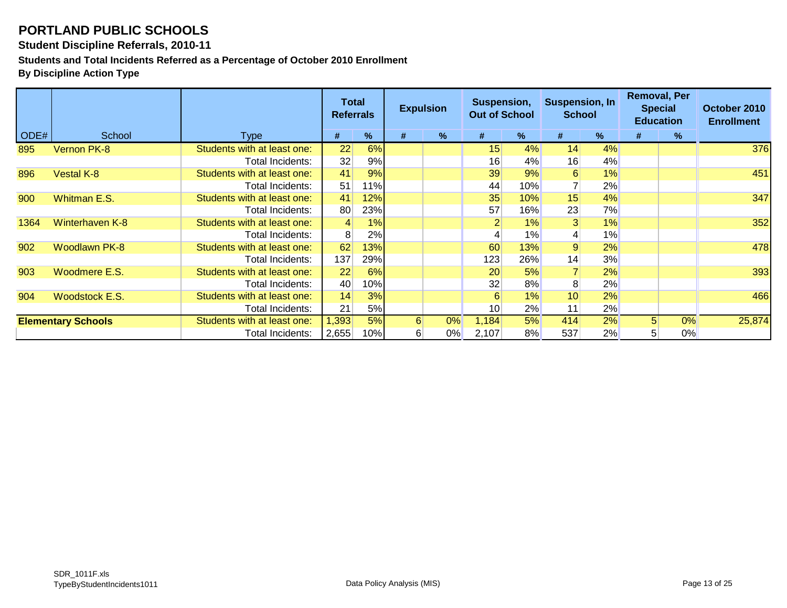**Student Discipline Referrals, 2010-11**

**Students and Total Incidents Referred as a Percentage of October 2010 Enrollment**

|      |                           |                             | Total<br><b>Referrals</b> |        | <b>Expulsion</b> |               | Suspension,<br><b>Out of School</b> |     | Suspension, In<br><b>School</b> |       | <b>Removal, Per</b><br><b>Special</b><br><b>Education</b> |      | October 2010<br><b>Enrollment</b> |
|------|---------------------------|-----------------------------|---------------------------|--------|------------------|---------------|-------------------------------------|-----|---------------------------------|-------|-----------------------------------------------------------|------|-----------------------------------|
| ODE# | School                    | <b>Type</b>                 | #                         | %      | #                | $\frac{9}{6}$ | #                                   | %   | #                               | %     | #                                                         | $\%$ |                                   |
| 895  | Vernon PK-8               | Students with at least one: | 22                        | 6%     |                  |               | 15                                  | 4%  | 14                              | 4%    |                                                           |      | 376                               |
|      |                           | Total Incidents:            | 32                        | 9%     |                  |               | 16                                  | 4%  | 16                              | 4%    |                                                           |      |                                   |
| 896  | <b>Vestal K-8</b>         | Students with at least one: | 41                        | 9%     |                  |               | 39                                  | 9%  | 6                               | 1%    |                                                           |      | 451                               |
|      |                           | Total Incidents:            | 51                        | $11\%$ |                  |               | 44                                  | 10% |                                 | 2%    |                                                           |      |                                   |
| 900  | Whitman E.S.              | Students with at least one: | 41                        | 12%    |                  |               | 35                                  | 10% | 15                              | 4%    |                                                           |      | 347                               |
|      |                           | Total Incidents:            | 80                        | 23%    |                  |               | 57                                  | 16% | 23                              | 7%    |                                                           |      |                                   |
| 1364 | Winterhaven K-8           | Students with at least one: | $\vert 4 \vert$           | 1%     |                  |               |                                     | 1%  | 3 <sup>1</sup>                  | 1%    |                                                           |      | 352                               |
|      |                           | Total Incidents:            | 8 <sup>°</sup>            | 2%     |                  |               |                                     | 1%  |                                 | $1\%$ |                                                           |      |                                   |
| 902  | <b>Woodlawn PK-8</b>      | Students with at least one: | 62                        | 13%    |                  |               | 60                                  | 13% | 9                               | 2%    |                                                           |      | 478                               |
|      |                           | Total Incidents:            | 137                       | 29%    |                  |               | 123                                 | 26% | 14                              | 3%    |                                                           |      |                                   |
| 903  | Woodmere E.S.             | Students with at least one: | 22                        | 6%     |                  |               | 20                                  | 5%  |                                 | 2%    |                                                           |      | 393                               |
|      |                           | Total Incidents:            | 40                        | 10%    |                  |               | 32                                  | 8%  | 8                               | 2%    |                                                           |      |                                   |
| 904  | <b>Woodstock E.S.</b>     | Students with at least one: | 14                        | 3%     |                  |               | 6                                   | 1%  | 10                              | 2%    |                                                           |      | 466                               |
|      |                           | Total Incidents:            | 21                        | 5%     |                  |               | 10 <sup>1</sup>                     | 2%  | 11                              | 2%    |                                                           |      |                                   |
|      | <b>Elementary Schools</b> | Students with at least one: | 1,393                     | 5%     | 6 <sup>1</sup>   | 0%            | 1,184                               | 5%  | 414                             | 2%    | 5 <sup>1</sup>                                            | 0%   | 25,874                            |
|      |                           | Total Incidents:            | 2,655                     | 10%    | $6 \mid$         | 0%            | 2,107                               | 8%  | 537                             | 2%    |                                                           | 0%   |                                   |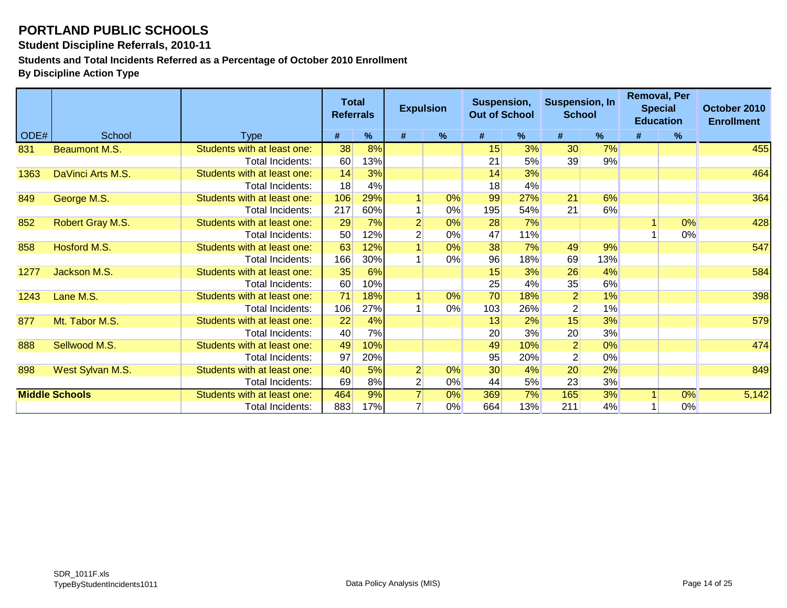**Student Discipline Referrals, 2010-11**

**Students and Total Incidents Referred as a Percentage of October 2010 Enrollment**

|      |                       |                             | <b>Total</b><br><b>Referrals</b> |     |                | <b>Expulsion</b> | Suspension,<br><b>Out of School</b> |     |                 | <b>Removal, Per</b><br><b>Suspension, In</b><br><b>Special</b><br><b>School</b><br><b>Education</b> |   |    | October 2010<br><b>Enrollment</b> |  |
|------|-----------------------|-----------------------------|----------------------------------|-----|----------------|------------------|-------------------------------------|-----|-----------------|-----------------------------------------------------------------------------------------------------|---|----|-----------------------------------|--|
| ODE# | School                | Type                        | #                                | %   | #              | %                | #                                   | %   | #               | %                                                                                                   | # | %  |                                   |  |
| 831  | <b>Beaumont M.S.</b>  | Students with at least one: | 38                               | 8%  |                |                  | 15                                  | 3%  | 30 <sup>°</sup> | 7%                                                                                                  |   |    | 455                               |  |
|      |                       | Total Incidents:            | 60                               | 13% |                |                  | 21                                  | 5%  | 39              | 9%                                                                                                  |   |    |                                   |  |
| 1363 | DaVinci Arts M.S.     | Students with at least one: | 14                               | 3%  |                |                  | 14                                  | 3%  |                 |                                                                                                     |   |    | 464                               |  |
|      |                       | Total Incidents:            | 18                               | 4%  |                |                  | 18                                  | 4%  |                 |                                                                                                     |   |    |                                   |  |
| 849  | George M.S.           | Students with at least one: | 106                              | 29% |                | 0%               | 99                                  | 27% | 21              | 6%                                                                                                  |   |    | 364                               |  |
|      |                       | Total Incidents:            | 217                              | 60% |                | $0\%$            | 195                                 | 54% | 21              | 6%                                                                                                  |   |    |                                   |  |
| 852  | Robert Gray M.S.      | Students with at least one: | 29                               | 7%  | 2              | 0%               | 28                                  | 7%  |                 |                                                                                                     |   | 0% | 428                               |  |
|      |                       | Total Incidents:            | 50                               | 12% | $\overline{2}$ | 0%               | 47                                  | 11% |                 |                                                                                                     |   | 0% |                                   |  |
| 858  | Hosford M.S.          | Students with at least one: | 63                               | 12% |                | 0%               | 38                                  | 7%  | 49              | 9%                                                                                                  |   |    | 547                               |  |
|      |                       | Total Incidents:            | 166                              | 30% |                | $0\%$            | 96                                  | 18% | 69              | 13%                                                                                                 |   |    |                                   |  |
| 1277 | Jackson M.S.          | Students with at least one: | 35                               | 6%  |                |                  | 15                                  | 3%  | 26              | 4%                                                                                                  |   |    | 584                               |  |
|      |                       | Total Incidents:            | 60                               | 10% |                |                  | 25                                  | 4%  | 35              | 6%                                                                                                  |   |    |                                   |  |
| 1243 | Lane M.S.             | Students with at least one: | $\overline{71}$                  | 18% |                | $0\%$            | 70                                  | 18% | $\overline{2}$  | 1%                                                                                                  |   |    | 398                               |  |
|      |                       | Total Incidents:            | 106                              | 27% |                | $0\%$            | 103                                 | 26% | $\overline{2}$  | 1%                                                                                                  |   |    |                                   |  |
| 877  | Mt. Tabor M.S.        | Students with at least one: | 22                               | 4%  |                |                  | 13                                  | 2%  | 15              | 3%                                                                                                  |   |    | 579                               |  |
|      |                       | Total Incidents:            | 40                               | 7%  |                |                  | 20                                  | 3%  | 20              | 3%                                                                                                  |   |    |                                   |  |
| 888  | Sellwood M.S.         | Students with at least one: | 49                               | 10% |                |                  | 49                                  | 10% | $\overline{2}$  | 0%                                                                                                  |   |    | 474                               |  |
|      |                       | Total Incidents:            | 97                               | 20% |                |                  | 95                                  | 20% | $\overline{2}$  | $0\%$                                                                                               |   |    |                                   |  |
| 898  | West Sylvan M.S.      | Students with at least one: | 40                               | 5%  | $\overline{2}$ | 0%               | 30                                  | 4%  | 20              | 2%                                                                                                  |   |    | 849                               |  |
|      |                       | Total Incidents:            | 69                               | 8%  | $\overline{2}$ | $0\%$            | 44                                  | 5%  | 23              | 3%                                                                                                  |   |    |                                   |  |
|      | <b>Middle Schools</b> | Students with at least one: | 464                              | 9%  |                | 0%               | 369                                 | 7%  | 165             | 3%                                                                                                  |   | 0% | 5,142                             |  |
|      |                       | Total Incidents:            | 883                              | 17% |                | 0%               | 664                                 | 13% | 211             | 4%                                                                                                  |   | 0% |                                   |  |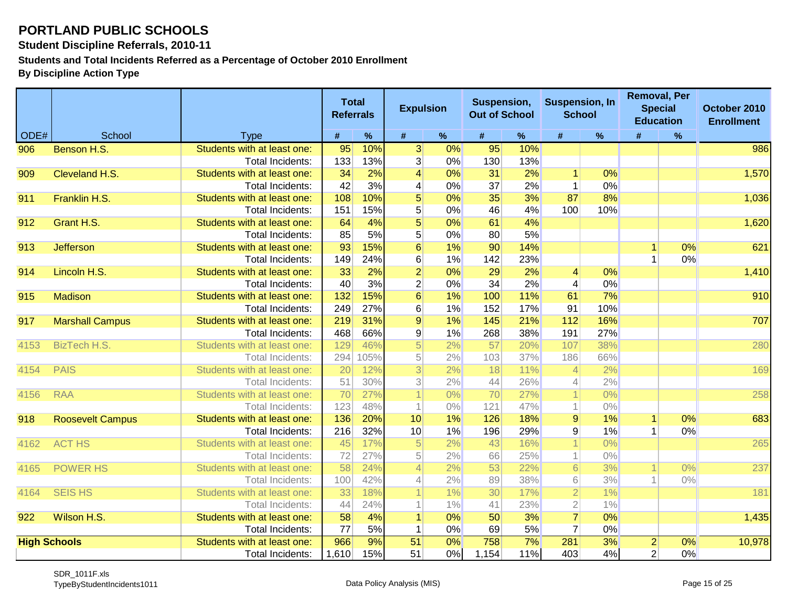**Student Discipline Referrals, 2010-11**

**Students and Total Incidents Referred as a Percentage of October 2010 Enrollment**

|      |                         |                             | <b>Total</b><br><b>Referrals</b> |      | <b>Expulsion</b>        |       | Suspension,<br><b>Out of School</b> |     | <b>Suspension, In</b><br><b>School</b> |       | <b>Removal, Per</b><br><b>Special</b><br><b>Education</b> |    | October 2010<br><b>Enrollment</b> |
|------|-------------------------|-----------------------------|----------------------------------|------|-------------------------|-------|-------------------------------------|-----|----------------------------------------|-------|-----------------------------------------------------------|----|-----------------------------------|
| ODE# | School                  | <b>Type</b>                 | #                                | $\%$ | #                       | $\%$  | #                                   | %   | #                                      | $\%$  | #                                                         | %  |                                   |
| 906  | Benson H.S.             | Students with at least one: | 95                               | 10%  | 3 <sup>2</sup>          | 0%    | 95                                  | 10% |                                        |       |                                                           |    | 986                               |
|      |                         | <b>Total Incidents:</b>     | 133                              | 13%  | 3                       | 0%    | 130                                 | 13% |                                        |       |                                                           |    |                                   |
| 909  | Cleveland H.S.          | Students with at least one: | 34                               | 2%   | $\overline{\mathbf{4}}$ | 0%    | 31                                  | 2%  | $\vert$                                | 0%    |                                                           |    | 1,570                             |
|      |                         | Total Incidents:            | 42                               | 3%   | 4                       | $0\%$ | 37                                  | 2%  | $\mathbf 1$                            | 0%    |                                                           |    |                                   |
| 911  | Franklin H.S.           | Students with at least one: | 108                              | 10%  | 5                       | $0\%$ | 35                                  | 3%  | 87                                     | 8%    |                                                           |    | 1,036                             |
|      |                         | Total Incidents:            | 151                              | 15%  | 5                       | 0%    | 46                                  | 4%  | 100                                    | 10%   |                                                           |    |                                   |
| 912  | Grant H.S.              | Students with at least one: | 64                               | 4%   | $\overline{5}$          | $0\%$ | 61                                  | 4%  |                                        |       |                                                           |    | 1,620                             |
|      |                         | Total Incidents:            | 85                               | 5%   | 5                       | 0%    | 80 <sup>°</sup>                     | 5%  |                                        |       |                                                           |    |                                   |
| 913  | <b>Jefferson</b>        | Students with at least one: | 93                               | 15%  | $6\overline{6}$         | 1%    | 90                                  | 14% |                                        |       |                                                           | 0% | 621                               |
|      |                         | Total Incidents:            | 149                              | 24%  | 6                       | 1%    | 142                                 | 23% |                                        |       |                                                           | 0% |                                   |
| 914  | Lincoln H.S.            | Students with at least one: | 33                               | 2%   | $\overline{2}$          | $0\%$ | 29                                  | 2%  | $\vert 4 \vert$                        | 0%    |                                                           |    | 1,410                             |
|      |                         | <b>Total Incidents:</b>     | 40                               | 3%   | $\overline{2}$          | 0%    | 34                                  | 2%  | $\overline{4}$                         | 0%    |                                                           |    |                                   |
| 915  | <b>Madison</b>          | Students with at least one: | 132                              | 15%  | $6\overline{6}$         | 1%    | 100                                 | 11% | 61                                     | 7%    |                                                           |    | 910                               |
|      |                         | Total Incidents:            | 249                              | 27%  | 6                       | 1%    | 152                                 | 17% | 91                                     | 10%   |                                                           |    |                                   |
| 917  | <b>Marshall Campus</b>  | Students with at least one: | 219                              | 31%  | $\overline{9}$          | 1%    | 145                                 | 21% | 112                                    | 16%   |                                                           |    | 707                               |
|      |                         | <b>Total Incidents:</b>     | 468                              | 66%  | $\boldsymbol{9}$        | 1%    | 268                                 | 38% | 191                                    | 27%   |                                                           |    |                                   |
| 4153 | <b>BizTech H.S.</b>     | Students with at least one: | 129                              | 46%  | $\overline{5}$          | 2%    | 57                                  | 20% | 107                                    | 38%   |                                                           |    | 280                               |
|      |                         | Total Incidents:            | 294                              | 105% | 5 <sup>1</sup>          | 2%    | 103                                 | 37% | 186                                    | 66%   |                                                           |    |                                   |
| 4154 | <b>PAIS</b>             | Students with at least one: | 20                               | 12%  | $\overline{3}$          | 2%    | 18                                  | 11% | $\overline{4}$                         | 2%    |                                                           |    | 169                               |
|      |                         | Total Incidents:            | 51                               | 30%  | 3                       | 2%    | 44                                  | 26% | 4                                      | 2%    |                                                           |    |                                   |
| 4156 | <b>RAA</b>              | Students with at least one: | 70                               | 27%  |                         | $0\%$ | 70                                  | 27% |                                        | $0\%$ |                                                           |    | 258                               |
|      |                         | Total Incidents:            | 123                              | 48%  |                         | $0\%$ | 121                                 | 47% | 1                                      | $0\%$ |                                                           |    |                                   |
| 918  | <b>Roosevelt Campus</b> | Students with at least one: | 136                              | 20%  | 10                      | 1%    | 126                                 | 18% | $\overline{9}$                         | 1%    | 1                                                         | 0% | 683                               |
|      |                         | <b>Total Incidents:</b>     | 216                              | 32%  | 10                      | 1%    | 196                                 | 29% | 9                                      | 1%    |                                                           | 0% |                                   |
| 4162 | <b>ACT HS</b>           | Students with at least one: | 45                               | 17%  | 5                       | 2%    | 43                                  | 16% |                                        | $0\%$ |                                                           |    | 265                               |
|      |                         | Total Incidents:            | 72                               | 27%  | 5                       | 2%    | 66                                  | 25% | 1                                      | $0\%$ |                                                           |    |                                   |
| 4165 | <b>POWER HS</b>         | Students with at least one: | 58                               | 24%  | $\overline{4}$          | 2%    | 53                                  | 22% | $6 \mid$                               | 3%    |                                                           | 0% | 237                               |
|      |                         | Total Incidents:            | 100                              | 42%  | 4                       | 2%    | 89                                  | 38% | $6 \,$                                 | 3%    |                                                           | 0% |                                   |
| 4164 | <b>SEIS HS</b>          | Students with at least one: | 33                               | 18%  |                         | 1%    | 30                                  | 17% | $\overline{2}$                         | 1%    |                                                           |    | 181                               |
|      |                         | Total Incidents:            | 44                               | 24%  |                         | 1%    | 41                                  | 23% | $\overline{2}$                         | 1%    |                                                           |    |                                   |
| 922  | Wilson H.S.             | Students with at least one: | 58                               | 4%   |                         | $0\%$ | 50                                  | 3%  | $\overline{7}$                         | 0%    |                                                           |    | 1,435                             |
|      |                         | <b>Total Incidents:</b>     | 77                               | 5%   | 1                       | 0%    | 69                                  | 5%  | $\overline{7}$                         | 0%    |                                                           |    |                                   |
|      | <b>High Schools</b>     | Students with at least one: | 966                              | 9%   | 51                      | $0\%$ | 758                                 | 7%  | 281                                    | 3%    | $\overline{2}$                                            | 0% | 10,978                            |
|      |                         | Total Incidents:            | 1,610                            | 15%  | 51                      | 0%    | 1,154                               | 11% | 403                                    | 4%    | $\overline{2}$                                            | 0% |                                   |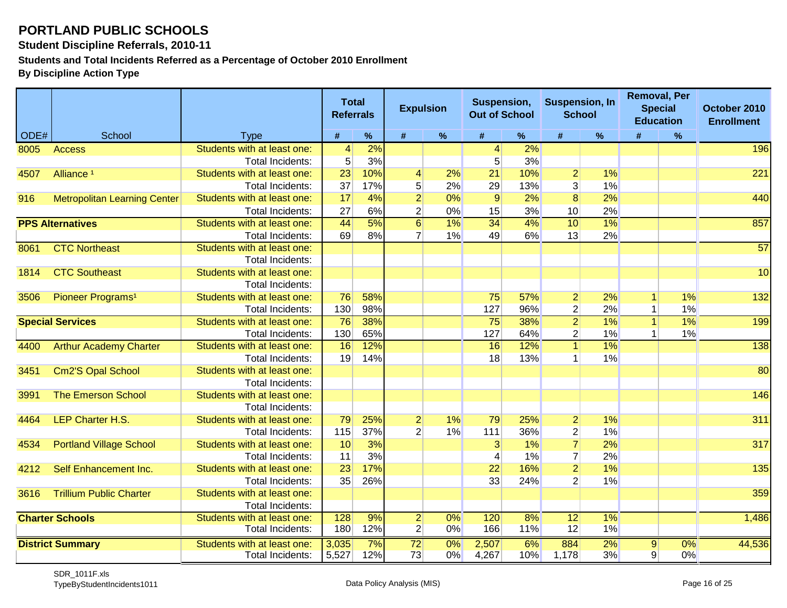**Student Discipline Referrals, 2010-11**

**Students and Total Incidents Referred as a Percentage of October 2010 Enrollment**

|      |                                     |                                                 | <b>Total</b><br><b>Referrals</b> |           | <b>Expulsion</b>                 |             | Suspension,<br><b>Out of School</b> |           | <b>Suspension, In</b><br><b>School</b> |             |             | <b>Removal, Per</b><br><b>Special</b><br><b>Education</b> | October 2010<br><b>Enrollment</b> |
|------|-------------------------------------|-------------------------------------------------|----------------------------------|-----------|----------------------------------|-------------|-------------------------------------|-----------|----------------------------------------|-------------|-------------|-----------------------------------------------------------|-----------------------------------|
| ODE# | School                              | <b>Type</b>                                     | $\#$                             | $\%$      | $\#$                             | $\%$        | $\#$                                | %         | #                                      | $\%$        | #           | $\%$                                                      |                                   |
| 8005 | <b>Access</b>                       | Students with at least one:                     | $\vert 4 \vert$                  | 2%        |                                  |             | 4                                   | 2%        |                                        |             |             |                                                           | 196                               |
|      |                                     | Total Incidents:                                | 5 <sup>1</sup>                   | 3%        |                                  |             | 5                                   | 3%        |                                        |             |             |                                                           |                                   |
| 4507 | Alliance <sup>1</sup>               | Students with at least one:                     | 23                               | 10%       | 4                                | 2%          | 21                                  | 10%       | $\mathbf{2}$                           | 1%          |             |                                                           | 221                               |
|      |                                     | <b>Total Incidents:</b>                         | 37                               | 17%       | 5                                | 2%          | 29                                  | 13%       | $\overline{3}$                         | 1%          |             |                                                           |                                   |
| 916  | <b>Metropolitan Learning Center</b> | Students with at least one:                     | 17                               | 4%        | $\overline{2}$                   | 0%          | $\overline{9}$                      | 2%        | $\overline{8}$                         | 2%          |             |                                                           | 440                               |
|      |                                     | <b>Total Incidents:</b>                         | 27                               | 6%        | $\overline{c}$                   | 0%          | 15                                  | 3%        | 10                                     | 2%          |             |                                                           |                                   |
|      | <b>PPS Alternatives</b>             | Students with at least one:                     | 44                               | 5%        | $\overline{6}$                   | $1\%$       | 34                                  | $4\%$     | 10                                     | 1%          |             |                                                           | 857                               |
|      |                                     | Total Incidents:                                | 69                               | 8%        | $\overline{7}$                   | 1%          | 49                                  | 6%        | 13                                     | 2%          |             |                                                           |                                   |
| 8061 | <b>CTC Northeast</b>                | Students with at least one:                     |                                  |           |                                  |             |                                     |           |                                        |             |             |                                                           | $\overline{57}$                   |
|      |                                     | Total Incidents:                                |                                  |           |                                  |             |                                     |           |                                        |             |             |                                                           |                                   |
| 1814 | <b>CTC Southeast</b>                | Students with at least one:                     |                                  |           |                                  |             |                                     |           |                                        |             |             |                                                           | 10                                |
|      |                                     | Total Incidents:                                |                                  |           |                                  |             |                                     |           |                                        |             |             |                                                           |                                   |
| 3506 | Pioneer Programs <sup>1</sup>       | Students with at least one:                     | 76                               | 58%       |                                  |             | 75                                  | 57%       | $\mathbf{2}$                           | 2%          | $\mathbf 1$ | 1%                                                        | 132                               |
|      |                                     | Total Incidents:                                | 130                              | 98%       |                                  |             | 127                                 | 96%       | $\overline{2}$                         | 2%          | 1           | 1%                                                        |                                   |
|      | <b>Special Services</b>             | Students with at least one:                     | $\overline{76}$                  | 38%       |                                  |             | $\overline{75}$                     | 38%       | $\overline{2}$                         | $1\%$       | 1           | $1\%$                                                     | 199                               |
|      |                                     | Total Incidents:                                | 130                              | 65%       |                                  |             | 127                                 | 64%       | $\mathbf{2}$                           | 1%          |             | 1%                                                        |                                   |
| 4400 | <b>Arthur Academy Charter</b>       | Students with at least one:                     | $\overline{16}$                  | 12%       |                                  |             | 16                                  | 12%       | 1 <sup>1</sup>                         | 1%          |             |                                                           | 138                               |
|      |                                     | Total Incidents:                                | 19                               | 14%       |                                  |             | 18                                  | 13%       | $\mathbf{1}$                           | 1%          |             |                                                           |                                   |
| 3451 | <b>Cm2'S Opal School</b>            | Students with at least one:                     |                                  |           |                                  |             |                                     |           |                                        |             |             |                                                           | 80                                |
|      |                                     | Total Incidents:                                |                                  |           |                                  |             |                                     |           |                                        |             |             |                                                           |                                   |
| 3991 | <b>The Emerson School</b>           | Students with at least one:                     |                                  |           |                                  |             |                                     |           |                                        |             |             |                                                           | 146                               |
|      |                                     | Total Incidents:                                |                                  |           |                                  |             |                                     |           |                                        |             |             |                                                           |                                   |
| 4464 | <b>LEP Charter H.S.</b>             | Students with at least one:                     | 79                               | 25%       | $\overline{2}$                   | 1%          | 79                                  | 25%       | $\overline{2}$                         | 1%          |             |                                                           | 311                               |
|      |                                     | Total Incidents:                                | 115                              | 37%       | $\overline{2}$                   | 1%          | 111                                 | 36%       | $\mathbf{2}$                           | 1%          |             |                                                           |                                   |
| 4534 | <b>Portland Village School</b>      | Students with at least one:                     | 10                               | 3%        |                                  |             | 3                                   | 1%        | $\overline{7}$                         | 2%          |             |                                                           | 317                               |
|      |                                     | <b>Total Incidents:</b>                         | 11                               | 3%        |                                  |             | 4                                   | 1%        | $\overline{7}$                         | 2%          |             |                                                           |                                   |
| 4212 | Self Enhancement Inc.               | Students with at least one:                     | 23                               | 17%       |                                  |             | 22                                  | 16%       | $\overline{2}$                         | 1%          |             |                                                           | 135                               |
|      |                                     | Total Incidents:                                | 35                               | 26%       |                                  |             | 33                                  | 24%       | $\overline{2}$                         | 1%          |             |                                                           |                                   |
| 3616 | <b>Trillium Public Charter</b>      | Students with at least one:                     |                                  |           |                                  |             |                                     |           |                                        |             |             |                                                           | 359                               |
|      |                                     | Total Incidents:                                |                                  |           |                                  |             |                                     |           |                                        |             |             |                                                           |                                   |
|      | <b>Charter Schools</b>              | Students with at least one:<br>Total Incidents: | 128<br>180                       | 9%<br>12% | $\overline{2}$<br>$\overline{2}$ | $0\%$<br>0% | 120<br>166                          | 8%<br>11% | 12 <br>12                              | $1\%$<br>1% |             |                                                           | 1,486                             |
|      |                                     |                                                 |                                  |           |                                  |             |                                     |           |                                        |             |             |                                                           |                                   |
|      | <b>District Summary</b>             | Students with at least one:                     | 3,035                            | 7%        | $\overline{72}$                  | $0\%$       | 2,507                               | 6%        | 884                                    | 2%          | 9           | 0%                                                        | 44,536                            |
|      |                                     | <b>Total Incidents:</b>                         | 5,527                            | 12%       | 73                               | $0\%$       | 4,267                               | 10%       | 1,178                                  | 3%          | 9           | 0%                                                        |                                   |